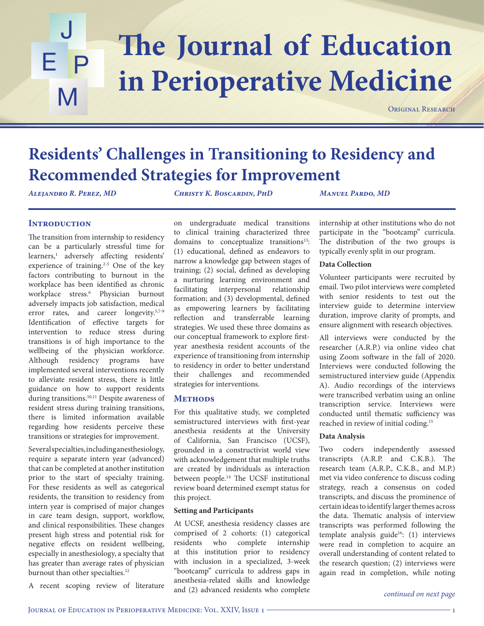### The Journal of Education J E P M **in Perioperative Medicine**

ORIGINAL RESEARCH

## **Residents' Challenges in Transitioning to Residency and Recommended Strategies for Improvement**

*Alejandro R. Perez, MD Christy K. Boscardin, PhD Manuel Pardo, MD*

### **INTRODUCTION**

The transition from internship to residency can be a particularly stressful time for learners,1 adversely affecting residents' experience of training.2-5 One of the key factors contributing to burnout in the workplace has been identified as chronic workplace stress.6 Physician burnout adversely impacts job satisfaction, medical error rates, and career longevity.<sup>5,7-9</sup> Identification of effective targets for intervention to reduce stress during transitions is of high importance to the wellbeing of the physician workforce. Although residency programs have implemented several interventions recently to alleviate resident stress, there is little guidance on how to support residents during transitions.<sup>10,11</sup> Despite awareness of resident stress during training transitions, there is limited information available regarding how residents perceive these transitions or strategies for improvement.

Several specialties, including anesthesiology, require a separate intern year (advanced) that can be completed at another institution prior to the start of specialty training. For these residents as well as categorical residents, the transition to residency from intern year is comprised of major changes in care team design, support, workflow, and clinical responsibilities. These changes present high stress and potential risk for negative effects on resident wellbeing, especially in anesthesiology, a specialty that has greater than average rates of physician burnout than other specialties.<sup>12</sup>

A recent scoping review of literature

on undergraduate medical transitions to clinical training characterized three domains to conceptualize transitions<sup>13</sup>: (1) educational, defined as endeavors to narrow a knowledge gap between stages of training; (2) social, defined as developing a nurturing learning environment and facilitating interpersonal relationship formation; and (3) developmental, defined as empowering learners by facilitating reflection and transferrable learning strategies. We used these three domains as our conceptual framework to explore firstyear anesthesia resident accounts of the experience of transitioning from internship to residency in order to better understand their challenges and recommended strategies for interventions.

#### **METHODS**

For this qualitative study, we completed semistructured interviews with first-year anesthesia residents at the University of California, San Francisco (UCSF), grounded in a constructivist world view with acknowledgement that multiple truths are created by individuals as interaction between people.<sup>14</sup> The UCSF institutional review board determined exempt status for this project.

#### **Setting and Participants**

At UCSF, anesthesia residency classes are comprised of 2 cohorts: (1) categorical residents who complete internship at this institution prior to residency with inclusion in a specialized, 3-week "bootcamp" curricula to address gaps in anesthesia-related skills and knowledge and (2) advanced residents who complete internship at other institutions who do not participate in the "bootcamp" curricula*.* The distribution of the two groups is typically evenly split in our program.

#### **Data Collection**

Volunteer participants were recruited by email. Two pilot interviews were completed with senior residents to test out the interview guide to determine interview duration, improve clarity of prompts, and ensure alignment with research objectives.

All interviews were conducted by the researcher (A.R.P.) via online video chat using Zoom software in the fall of 2020. Interviews were conducted following the semistructured interview guide (Appendix A). Audio recordings of the interviews were transcribed verbatim using an online transcription service. Interviews were conducted until thematic sufficiency was reached in review of initial coding.15

#### **Data Analysis**

Two coders independently assessed transcripts (A.R.P. and C.K.B.). The research team (A.R.P., C.K.B., and M.P.) met via video conference to discuss coding strategy, reach a consensus on coded transcripts, and discuss the prominence of certain ideas to identify larger themes across the data. Thematic analysis of interview transcripts was performed following the template analysis guide<sup>16</sup>: (1) interviews were read in completion to acquire an overall understanding of content related to the research question; (2) interviews were again read in completion, while noting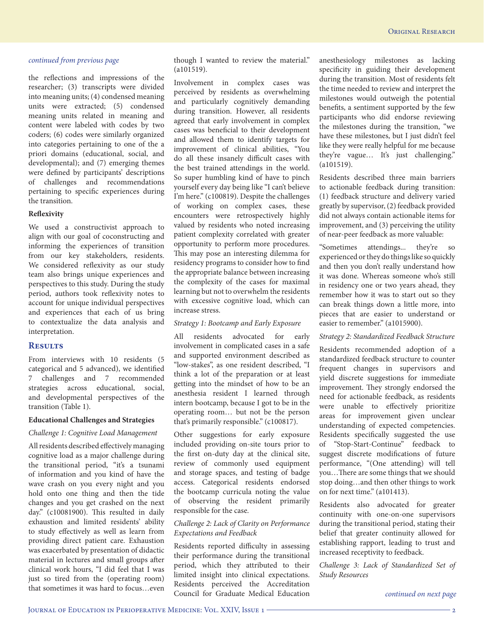the reflections and impressions of the researcher; (3) transcripts were divided into meaning units; (4) condensed meaning units were extracted; (5) condensed meaning units related in meaning and content were labeled with codes by two coders; (6) codes were similarly organized into categories pertaining to one of the a priori domains (educational, social, and developmental); and (7) emerging themes were defined by participants' descriptions of challenges and recommendations pertaining to specific experiences during the transition.

#### **Reflexivity**

We used a constructivist approach to align with our goal of coconstructing and informing the experiences of transition from our key stakeholders, residents. We considered reflexivity as our study team also brings unique experiences and perspectives to this study. During the study period, authors took reflexivity notes to account for unique individual perspectives and experiences that each of us bring to contextualize the data analysis and interpretation.

#### **Results**

From interviews with 10 residents (5 categorical and 5 advanced), we identified 7 challenges and 7 recommended strategies across educational, social, and developmental perspectives of the transition (Table 1).

#### **Educational Challenges and Strategies**

#### *Challenge 1: Cognitive Load Management*

All residents described effectively managing cognitive load as a major challenge during the transitional period, "it's a tsunami of information and you kind of have the wave crash on you every night and you hold onto one thing and then the tide changes and you get crashed on the next day." (c10081900). This resulted in daily exhaustion and limited residents' ability to study effectively as well as learn from providing direct patient care. Exhaustion was exacerbated by presentation of didactic material in lectures and small groups after clinical work hours, "I did feel that I was just so tired from the (operating room) that sometimes it was hard to focus…even

though I wanted to review the material." (a101519).

Involvement in complex cases was perceived by residents as overwhelming and particularly cognitively demanding during transition. However, all residents agreed that early involvement in complex cases was beneficial to their development and allowed them to identify targets for improvement of clinical abilities, "You do all these insanely difficult cases with the best trained attendings in the world. So super humbling kind of have to pinch yourself every day being like "I can't believe I'm here." (c100819). Despite the challenges of working on complex cases, these encounters were retrospectively highly valued by residents who noted increasing patient complexity correlated with greater opportunity to perform more procedures. This may pose an interesting dilemma for residency programs to consider how to find the appropriate balance between increasing the complexity of the cases for maximal learning but not to overwhelm the residents with excessive cognitive load, which can increase stress.

#### *Strategy 1: Bootcamp and Early Exposure*

All residents advocated for early involvement in complicated cases in a safe and supported environment described as "low-stakes", as one resident described, "I think a lot of the preparation or at least getting into the mindset of how to be an anesthesia resident I learned through intern bootcamp, because I got to be in the operating room… but not be the person that's primarily responsible." (c100817).

Other suggestions for early exposure included providing on-site tours prior to the first on-duty day at the clinical site, review of commonly used equipment and storage spaces, and testing of badge access. Categorical residents endorsed the bootcamp curricula noting the value of observing the resident primarily responsible for the case.

#### *Challenge 2: Lack of Clarity on Performance Expectations and Feedback*

Residents reported difficulty in assessing their performance during the transitional period, which they attributed to their limited insight into clinical expectations. Residents perceived the Accreditation Council for Graduate Medical Education anesthesiology milestones as lacking specificity in guiding their development during the transition. Most of residents felt the time needed to review and interpret the milestones would outweigh the potential benefits, a sentiment supported by the few participants who did endorse reviewing the milestones during the transition, "we have these milestones, but I just didn't feel like they were really helpful for me because they're vague… It's just challenging." (a101519).

Residents described three main barriers to actionable feedback during transition: (1) feedback structure and delivery varied greatly by supervisor, (2) feedback provided did not always contain actionable items for improvement, and (3) perceiving the utility of near-peer feedback as more valuable:

"Sometimes attendings... they're so experienced or they do things like so quickly and then you don't really understand how it was done. Whereas someone who's still in residency one or two years ahead, they remember how it was to start out so they can break things down a little more, into pieces that are easier to understand or easier to remember." (a1015900).

#### *Strategy 2: Standardized Feedback Structure*

Residents recommended adoption of a standardized feedback structure to counter frequent changes in supervisors and yield discrete suggestions for immediate improvement. They strongly endorsed the need for actionable feedback, as residents were unable to effectively prioritize areas for improvement given unclear understanding of expected competencies. Residents specifically suggested the use of "Stop-Start-Continue" feedback to suggest discrete modifications of future performance, "(One attending) will tell you…There are some things that we should stop doing…and then other things to work on for next time." (a101413).

Residents also advocated for greater continuity with one-on-one supervisors during the transitional period, stating their belief that greater continuity allowed for establishing rapport, leading to trust and increased receptivity to feedback.

*Challenge 3: Lack of Standardized Set of Study Resources*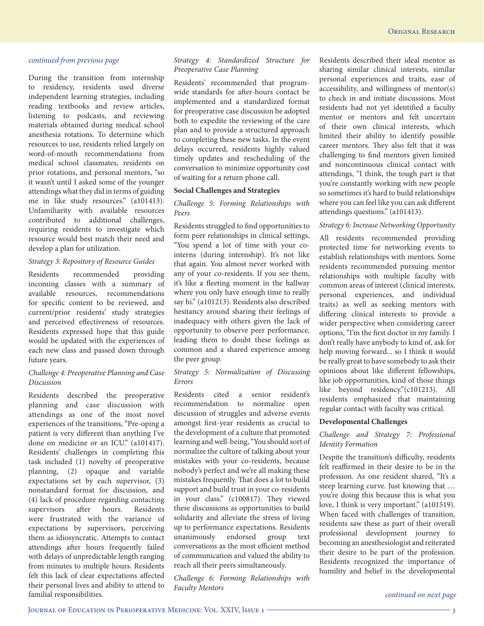During the transition from internship to residency, residents used diverse independent learning strategies, including reading textbooks and review articles, listening to podcasts, and reviewing materials obtained during medical school anesthesia rotations. To determine which resources to use, residents relied largely on word-of-mouth recommendations from medical school classmates, residents on prior rotations, and personal mentors, "so it wasn't until I asked some of the younger attendings what they did in terms of guiding me in like study resources." (a101413). Unfamiliarity with available resources contributed to additional challenges, requiring residents to investigate which resource would best match their need and develop a plan for utilization.

#### *Strategy 3: Repository of Resource Guides*

Residents recommended providing incoming classes with a summary of available resources, recommendations for specific content to be reviewed, and current/prior residents' study strategies and perceived effectiveness of resources. Residents expressed hope that this guide would be updated with the experiences of each new class and passed down through future years.

#### *Challenge 4: Preoperative Planning and Case Discussion*

Residents described the preoperative planning and case discussion with attendings as one of the most novel experiences of the transitions, "Pre-oping a patient is very different than anything I've done on medicine or an ICU." (a101417). Residents' challenges in completing this task included (1) novelty of preoperative planning, (2) opaque and variable expectations set by each supervisor, (3) nonstandard format for discussion, and (4) lack of procedure regarding contacting supervisors after hours. Residents were frustrated with the variance of expectations by supervisors, perceiving them as idiosyncratic. Attempts to contact attendings after hours frequently failed with delays of unpredictable length ranging from minutes to multiple hours. Residents felt this lack of clear expectations affected their personal lives and ability to attend to familial responsibilities.

#### *Strategy 4: Standardized Structure for Preoperative Case Planning*

Residents' recommended that programwide standards for after-hours contact be implemented and a standardized format for preoperative case discussion be adopted both to expedite the reviewing of the care plan and to provide a structured approach to completing these new tasks. In the event delays occurred, residents highly valued timely updates and rescheduling of the conversation to minimize opportunity cost of waiting for a return phone call.

#### **Social Challenges and Strategies**

#### *Challenge 5: Forming Relationships with Peers*

Residents struggled to find opportunities to form peer relationships in clinical settings, "You spend a lot of time with your cointerns (during internship). It's not like that again. You almost never worked with any of your co-residents. If you see them, it's like a fleeting moment in the hallway where you only have enough time to really say hi." (a101213). Residents also described hesitancy around sharing their feelings of inadequacy with others given the lack of opportunity to observe peer performance, leading them to doubt these feelings as common and a shared experience among the peer group.

#### *Strategy 5: Normalization of Discussing Errors*

Residents cited a senior resident's recommendation to normalize open discussion of struggles and adverse events amongst first-year residents as crucial to the development of a culture that promoted learning and well-being, "You should sort of normalize the culture of talking about your mistakes with your co-residents, because nobody's perfect and we're all making these mistakes frequently. That does a lot to build support and build trust in your co-residents in your class." (c100817). They viewed these discussions as opportunities to build solidarity and alleviate the stress of living up to performance expectations. Residents unanimously endorsed group text conversations as the most efficient method of communication and valued the ability to reach all their peers simultaneously.

*Challenge 6: Forming Relationships with Faculty Mentors*

Residents described their ideal mentor as sharing similar clinical interests, similar personal experiences and traits, ease of accessibility, and willingness of mentor(s) to check in and initiate discussions. Most residents had not yet identified a faculty mentor or mentors and felt uncertain of their own clinical interests, which limited their ability to identify possible career mentors. They also felt that it was challenging to find mentors given limited and noncontinuous clinical contact with attendings, "I think, the tough part is that you're constantly working with new people so sometimes it's hard to build relationships where you can feel like you can ask different attendings questions." (a101413).

#### *Strategy 6: Increase Networking Opportunity*

All residents recommended providing protected time for networking events to establish relationships with mentors. Some residents recommended pursuing mentor relationships with multiple faculty with common areas of interest (clinical interests, personal experiences, and individual traits) as well as seeking mentors with differing clinical interests to provide a wider perspective when considering career options, "I'm the first doctor in my family. I don't really have anybody to kind of, ask for help moving forward... so I think it would be really great to have somebody to ask their opinions about like different fellowships, like job opportunities, kind of those things like beyond residency."(c101213). All residents emphasized that maintaining regular contact with faculty was critical.

#### **Developmental Challenges**

#### *Challenge and Strategy 7: Professional Identity Formation*

Despite the transition's difficulty, residents felt reaffirmed in their desire to be in the profession. As one resident shared, "It's a steep learning curve. Just knowing that … you're doing this because this is what you love, I think is very important." (a101519). When faced with challenges of transition, residents saw these as part of their overall professional development journey to becoming an anesthesiologist and reiterated their desire to be part of the profession. Residents recognized the importance of humility and belief in the developmental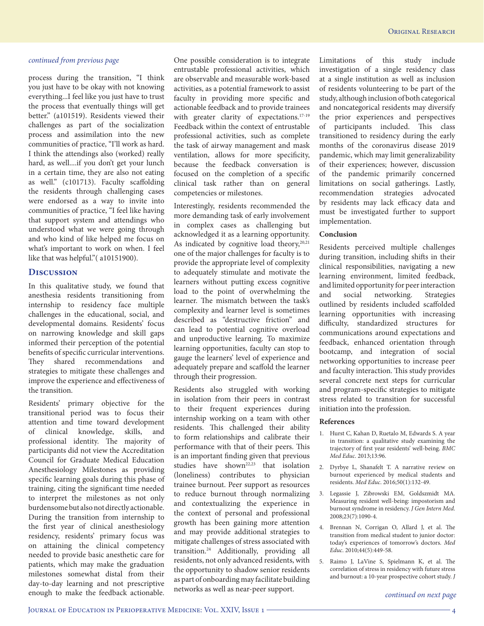process during the transition, "I think you just have to be okay with not knowing everything...I feel like you just have to trust the process that eventually things will get better." (a101519). Residents viewed their challenges as part of the socialization process and assimilation into the new communities of practice, "I'll work as hard. I think the attendings also (worked) really hard, as well....if you don't get your lunch in a certain time, they are also not eating as well." (c101713). Faculty scaffolding the residents through challenging cases were endorsed as a way to invite into communities of practice, "I feel like having that support system and attendings who understood what we were going through and who kind of like helped me focus on what's important to work on when. I feel like that was helpful." (a10151900).

#### **Discussion**

In this qualitative study, we found that anesthesia residents transitioning from internship to residency face multiple challenges in the educational, social, and developmental domains. Residents' focus on narrowing knowledge and skill gaps informed their perception of the potential benefits of specific curricular interventions. They shared recommendations and strategies to mitigate these challenges and improve the experience and effectiveness of the transition.

Residents' primary objective for the transitional period was to focus their attention and time toward development of clinical knowledge, skills, and professional identity. The majority of participants did not view the Accreditation Council for Graduate Medical Education Anesthesiology Milestones as providing specific learning goals during this phase of training, citing the significant time needed to interpret the milestones as not only burdensome but also not directly actionable. During the transition from internship to the first year of clinical anesthesiology residency, residents' primary focus was on attaining the clinical competency needed to provide basic anesthetic care for patients, which may make the graduation milestones somewhat distal from their day-to-day learning and not prescriptive enough to make the feedback actionable.

One possible consideration is to integrate entrustable professional activities, which are observable and measurable work-based activities, as a potential framework to assist faculty in providing more specific and actionable feedback and to provide trainees with greater clarity of expectations.<sup>17-19</sup> Feedback within the context of entrustable professional activities, such as complete the task of airway management and mask ventilation, allows for more specificity, because the feedback conversation is focused on the completion of a specific clinical task rather than on general competencies or milestones.

Interestingly, residents recommended the more demanding task of early involvement in complex cases as challenging but acknowledged it as a learning opportunity. As indicated by cognitive load theory,<sup>20,21</sup> one of the major challenges for faculty is to provide the appropriate level of complexity to adequately stimulate and motivate the learners without putting excess cognitive load to the point of overwhelming the learner. The mismatch between the task's complexity and learner level is sometimes described as "destructive friction" and can lead to potential cognitive overload and unproductive learning. To maximize learning opportunities, faculty can stop to gauge the learners' level of experience and adequately prepare and scaffold the learner through their progression.

Residents also struggled with working in isolation from their peers in contrast to their frequent experiences during internship working on a team with other residents. This challenged their ability to form relationships and calibrate their performance with that of their peers. This is an important finding given that previous studies have shown<sup>22,23</sup> that isolation (loneliness) contributes to physician trainee burnout. Peer support as resources to reduce burnout through normalizing and contextualizing the experience in the context of personal and professional growth has been gaining more attention and may provide additional strategies to mitigate challenges of stress associated with transition.24 Additionally, providing all residents, not only advanced residents, with the opportunity to shadow senior residents as part of onboarding may facilitate building networks as well as near-peer support.

Limitations of this study include investigation of a single residency class at a single institution as well as inclusion of residents volunteering to be part of the study, although inclusion of both categorical and noncategorical residents may diversify the prior experiences and perspectives of participants included. This class transitioned to residency during the early months of the coronavirus disease 2019 pandemic, which may limit generalizability of their experiences; however, discussion of the pandemic primarily concerned limitations on social gatherings. Lastly, recommendation strategies advocated by residents may lack efficacy data and must be investigated further to support implementation.

#### **Conclusion**

Residents perceived multiple challenges during transition, including shifts in their clinical responsibilities, navigating a new learning environment, limited feedback, and limited opportunity for peer interaction and social networking. Strategies outlined by residents included scaffolded learning opportunities with increasing difficulty, standardized structures for communications around expectations and feedback, enhanced orientation through bootcamp, and integration of social networking opportunities to increase peer and faculty interaction. This study provides several concrete next steps for curricular and program-specific strategies to mitigate stress related to transition for successful initiation into the profession.

#### **References**

- 1. Hurst C, Kahan D, Ruetalo M, Edwards S. A year in transition: a qualitative study examining the trajectory of first year residents' well-being. *BMC Med Educ*. 2013;13:96.
- 2. Dyrbye L, Shanafelt T. A narrative review on burnout experienced by medical students and residents. *Med Educ*. 2016;50(1):132-49.
- 3. Legassie J, Zibrowski EM, Goldszmidt MA. Measuring resident well-being: impostorism and burnout syndrome in residency. *J Gen Intern Med*. 2008;23(7):1090-4.
- 4. Brennan N, Corrigan O, Allard J, et al. The transition from medical student to junior doctor: today's experiences of tomorrow's doctors. *Med Educ*. 2010;44(5):449-58.
- 5. Raimo J, LaVine S, Spielmann K, et al. The correlation of stress in residency with future stress and burnout: a 10-year prospective cohort study. *J*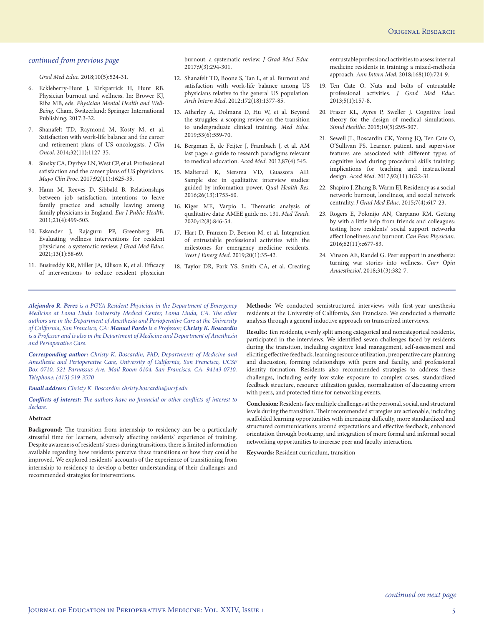*Grad Med Educ*. 2018;10(5):524-31.

- 6. Eckleberry-Hunt J, Kirkpatrick H, Hunt RB. Physician burnout and wellness. In: Brower KJ, Riba MB, eds. *Physician Mental Health and Well-Being*. Cham, Switzerland: Springer International Publishing; 2017:3-32.
- 7. Shanafelt TD, Raymond M, Kosty M, et al. Satisfaction with work-life balance and the career and retirement plans of US oncologists. *J Clin Oncol*. 2014;32(11):1127-35.
- 8. Sinsky CA, Dyrbye LN, West CP, et al. Professional satisfaction and the career plans of US physicians. *Mayo Clin Proc*. 2017;92(11):1625-35.
- 9. Hann M, Reeves D, Sibbald B. Relationships between job satisfaction, intentions to leave family practice and actually leaving among family physicians in England. *Eur J Public Health*. 2011;21(4):499-503.
- 10. Eskander J, Rajaguru PP, Greenberg PB. Evaluating wellness interventions for resident physicians: a systematic review. *J Grad Med Educ*. 2021;13(1):58-69.
- 11. Busireddy KR, Miller JA, Ellison K, et al. Efficacy of interventions to reduce resident physician

burnout: a systematic review. *J Grad Med Educ*. 2017;9(3):294-301.

- 12. Shanafelt TD, Boone S, Tan L, et al. Burnout and satisfaction with work-life balance among US physicians relative to the general US population. *Arch Intern Med*. 2012;172(18):1377-85.
- 13. Atherley A, Dolmans D, Hu W, et al. Beyond the struggles: a scoping review on the transition to undergraduate clinical training. *Med Educ*. 2019;53(6):559-70.
- 14. Bergman E, de Feijter J, Frambach J, et al. AM last page: a guide to research paradigms relevant to medical education. *Acad Med*. 2012;87(4):545.
- 15. Malterud K, Siersma VD, Guassora AD. Sample size in qualitative interview studies: guided by information power. *Qual Health Res*. 2016;26(13):1753-60.
- 16. Kiger ME, Varpio L. Thematic analysis of qualitative data: AMEE guide no. 131. *Med Teach*. 2020;42(8):846-54.
- 17. Hart D, Franzen D, Beeson M, et al. Integration of entrustable professional activities with the milestones for emergency medicine residents. *West J Emerg Med*. 2019;20(1):35-42.
- 18. Taylor DR, Park YS, Smith CA, et al. Creating

entrustable professional activities to assess internal medicine residents in training: a mixed-methods approach. *Ann Intern Med*. 2018;168(10):724-9.

- 19. Ten Cate O. Nuts and bolts of entrustable professional activities. *J Grad Med Educ*. 2013;5(1):157-8.
- 20. Fraser KL, Ayres P, Sweller J. Cognitive load theory for the design of medical simulations. *Simul Healthc*. 2015;10(5):295-307.
- 21. Sewell JL, Boscardin CK, Young JQ, Ten Cate O, O'Sullivan PS. Learner, patient, and supervisor features are associated with different types of cognitive load during procedural skills training: implications for teaching and instructional design. *Acad Med*. 2017;92(11):1622-31.
- 22. Shapiro J, Zhang B, Warm EJ. Residency as a social network: burnout, loneliness, and social network centrality. *J Grad Med Educ*. 2015;7(4):617-23.
- 23. Rogers E, Polonijo AN, Carpiano RM. Getting by with a little help from friends and colleagues: testing how residents' social support networks affect loneliness and burnout. *Can Fam Physician*. 2016;62(11):e677-83.
- 24. Vinson AE, Randel G. Peer support in anesthesia: turning war stories into wellness. *Curr Opin Anaesthesiol*. 2018;31(3):382-7.

*Alejandro R. Perez is a PGYA Resident Physician in the Department of Emergency Medicine at Loma Linda University Medical Center, Loma Linda, CA. The other authors are in the Department of Anesthesia and Perioperative Care at the University of California, San Francisco, CA: Manuel Pardo is a Professor; Christy K. Boscardin is a Professor and is also in the Department of Medicine and Department of Anesthesia and Perioperative Care.*

*Corresponding author: Christy K. Boscardin, PhD, Departments of Medicine and Anesthesia and Perioperative Care, University of California, San Francisco, UCSF Box 0710, 521 Parnassus Ave, Mail Room 0104, San Francisco, CA, 94143-0710. Telephone: (415) 519-3570*

#### *Email address: Christy K. Boscardin: christy.boscardin@ucsf.edu*

*Conflicts of interest: The authors have no financial or other conflicts of interest to declare.*

#### **Abstract**

**Background:** The transition from internship to residency can be a particularly stressful time for learners, adversely affecting residents' experience of training. Despite awareness of residents' stress during transitions, there is limited information available regarding how residents perceive these transitions or how they could be improved. We explored residents' accounts of the experience of transitioning from internship to residency to develop a better understanding of their challenges and recommended strategies for interventions.

**Methods:** We conducted semistructured interviews with first-year anesthesia residents at the University of California, San Francisco. We conducted a thematic analysis through a general inductive approach on transcribed interviews.

**Results:** Ten residents, evenly split among categorical and noncategorical residents, participated in the interviews. We identified seven challenges faced by residents during the transition, including cognitive load management, self-assessment and eliciting effective feedback, learning resource utilization, preoperative care planning and discussion, forming relationships with peers and faculty, and professional identity formation. Residents also recommended strategies to address these challenges, including early low-stake exposure to complex cases, standardized feedback structure, resource utilization guides, normalization of discussing errors with peers, and protected time for networking events.

**Conclusion:** Residents face multiple challenges at the personal, social, and structural levels during the transition. Their recommended strategies are actionable, including scaffolded learning opportunities with increasing difficulty, more standardized and structured communications around expectations and effective feedback, enhanced orientation through bootcamp, and integration of more formal and informal social networking opportunities to increase peer and faculty interaction.

**Keywords:** Resident curriculum, transition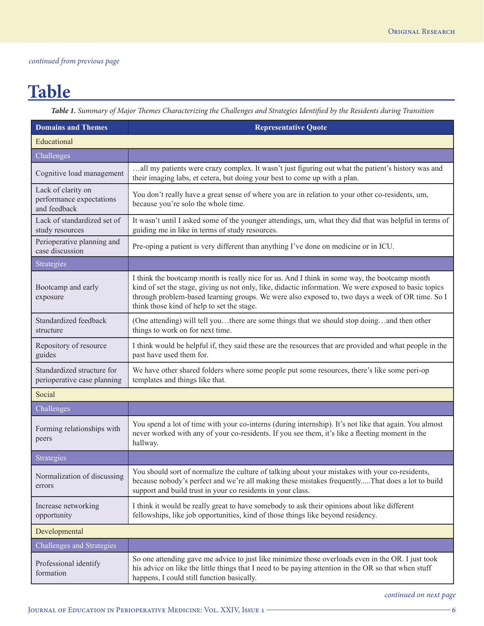## **Table**

*Table 1. Summary of Major Themes Characterizing the Challenges and Strategies Identified by the Residents during Transition*

| <b>Domains and Themes</b>                                      | <b>Representative Quote</b>                                                                                                                                                                                                                                                                                                                               |  |
|----------------------------------------------------------------|-----------------------------------------------------------------------------------------------------------------------------------------------------------------------------------------------------------------------------------------------------------------------------------------------------------------------------------------------------------|--|
| Educational                                                    |                                                                                                                                                                                                                                                                                                                                                           |  |
| Challenges                                                     |                                                                                                                                                                                                                                                                                                                                                           |  |
| Cognitive load management                                      | all my patients were crazy complex. It wasn't just figuring out what the patient's history was and<br>their imaging labs, et cetera, but doing your best to come up with a plan.                                                                                                                                                                          |  |
| Lack of clarity on<br>performance expectations<br>and feedback | You don't really have a great sense of where you are in relation to your other co-residents, um,<br>because you're solo the whole time.                                                                                                                                                                                                                   |  |
| Lack of standardized set of<br>study resources                 | It wasn't until I asked some of the younger attendings, um, what they did that was helpful in terms of<br>guiding me in like in terms of study resources.                                                                                                                                                                                                 |  |
| Perioperative planning and<br>case discussion                  | Pre-oping a patient is very different than anything I've done on medicine or in ICU.                                                                                                                                                                                                                                                                      |  |
| <b>Strategies</b>                                              |                                                                                                                                                                                                                                                                                                                                                           |  |
| Bootcamp and early<br>exposure                                 | I think the bootcamp month is really nice for us. And I think in some way, the bootcamp month<br>kind of set the stage, giving us not only, like, didactic information. We were exposed to basic topics<br>through problem-based learning groups. We were also exposed to, two days a week of OR time. So I<br>think those kind of help to set the stage. |  |
| Standardized feedback<br>structure                             | (One attending) will tell youthere are some things that we should stop doingand then other<br>things to work on for next time.                                                                                                                                                                                                                            |  |
| Repository of resource<br>guides                               | I think would be helpful if, they said these are the resources that are provided and what people in the<br>past have used them for.                                                                                                                                                                                                                       |  |
| Standardized structure for<br>perioperative case planning      | We have other shared folders where some people put some resources, there's like some peri-op<br>templates and things like that.                                                                                                                                                                                                                           |  |
| Social                                                         |                                                                                                                                                                                                                                                                                                                                                           |  |
| Challenges                                                     |                                                                                                                                                                                                                                                                                                                                                           |  |
| Forming relationships with<br>peers                            | You spend a lot of time with your co-interns (during internship). It's not like that again. You almost<br>never worked with any of your co-residents. If you see them, it's like a fleeting moment in the<br>hallway.                                                                                                                                     |  |
| <b>Strategies</b>                                              |                                                                                                                                                                                                                                                                                                                                                           |  |
| Normalization of discussing<br>errors                          | You should sort of normalize the culture of talking about your mistakes with your co-residents.<br>because nobody's perfect and we're all making these mistakes frequentlyThat does a lot to build<br>support and build trust in your co residents in your class.                                                                                         |  |
| Increase networking<br>opportunity                             | I think it would be really great to have somebody to ask their opinions about like different<br>fellowships, like job opportunities, kind of those things like beyond residency.                                                                                                                                                                          |  |
| Developmental                                                  |                                                                                                                                                                                                                                                                                                                                                           |  |
| Challenges and Strategies                                      |                                                                                                                                                                                                                                                                                                                                                           |  |
| Professional identify<br>formation                             | So one attending gave me advice to just like minimize those overloads even in the OR. I just took<br>his advice on like the little things that I need to be paying attention in the OR so that when stuff<br>happens, I could still function basically.                                                                                                   |  |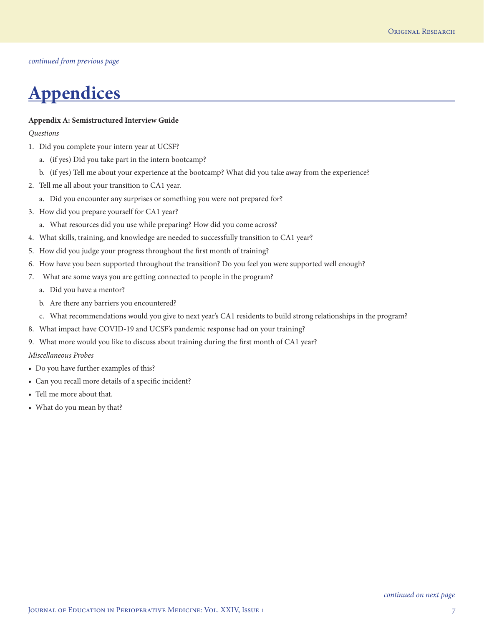## **Appendices**

#### **Appendix A: Semistructured Interview Guide**

*Questions*

- 1. Did you complete your intern year at UCSF?
	- a. (if yes) Did you take part in the intern bootcamp?
	- b. (if yes) Tell me about your experience at the bootcamp? What did you take away from the experience?
- 2. Tell me all about your transition to CA1 year.
	- a. Did you encounter any surprises or something you were not prepared for?
- 3. How did you prepare yourself for CA1 year?
	- a. What resources did you use while preparing? How did you come across?
- 4. What skills, training, and knowledge are needed to successfully transition to CA1 year?
- 5. How did you judge your progress throughout the first month of training?
- 6. How have you been supported throughout the transition? Do you feel you were supported well enough?
- 7. What are some ways you are getting connected to people in the program?
	- a. Did you have a mentor?
	- b. Are there any barriers you encountered?
	- c. What recommendations would you give to next year's CA1 residents to build strong relationships in the program?
- 8. What impact have COVID-19 and UCSF's pandemic response had on your training?
- 9. What more would you like to discuss about training during the first month of CA1 year?

*Miscellaneous Probes*

- Do you have further examples of this?
- Can you recall more details of a specific incident?
- Tell me more about that.
- What do you mean by that?